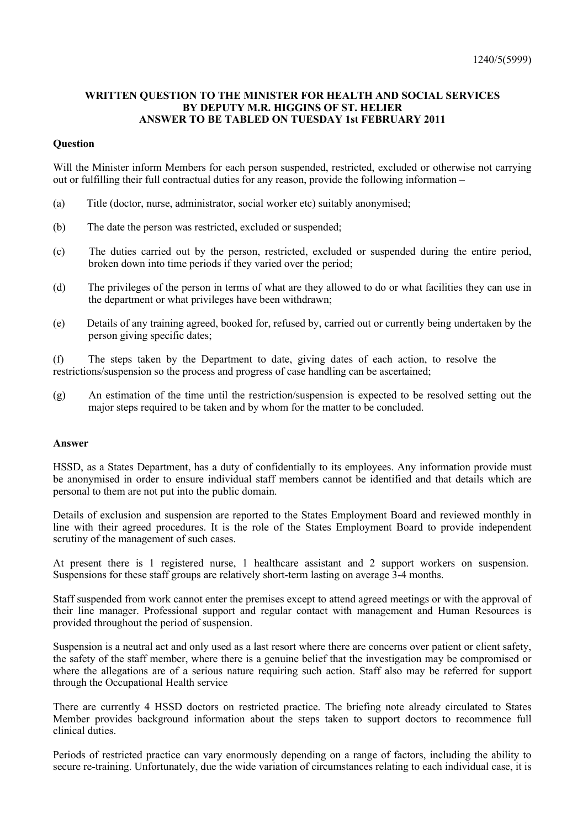## **WRITTEN QUESTION TO THE MINISTER FOR HEALTH AND SOCIAL SERVICES BY DEPUTY M.R. HIGGINS OF ST. HELIER ANSWER TO BE TABLED ON TUESDAY 1st FEBRUARY 2011**

## **Question**

Will the Minister inform Members for each person suspended, restricted, excluded or otherwise not carrying out or fulfilling their full contractual duties for any reason, provide the following information –

- (a) Title (doctor, nurse, administrator, social worker etc) suitably anonymised;
- (b) The date the person was restricted, excluded or suspended;
- (c) The duties carried out by the person, restricted, excluded or suspended during the entire period, broken down into time periods if they varied over the period;
- (d) The privileges of the person in terms of what are they allowed to do or what facilities they can use in the department or what privileges have been withdrawn;
- (e) Details of any training agreed, booked for, refused by, carried out or currently being undertaken by the person giving specific dates;

(f) The steps taken by the Department to date, giving dates of each action, to resolve the restrictions/suspension so the process and progress of case handling can be ascertained;

(g) An estimation of the time until the restriction/suspension is expected to be resolved setting out the major steps required to be taken and by whom for the matter to be concluded.

#### **Answer**

HSSD, as a States Department, has a duty of confidentially to its employees. Any information provide must be anonymised in order to ensure individual staff members cannot be identified and that details which are personal to them are not put into the public domain.

Details of exclusion and suspension are reported to the States Employment Board and reviewed monthly in line with their agreed procedures. It is the role of the States Employment Board to provide independent scrutiny of the management of such cases.

At present there is 1 registered nurse, 1 healthcare assistant and 2 support workers on suspension. Suspensions for these staff groups are relatively short-term lasting on average 3-4 months.

Staff suspended from work cannot enter the premises except to attend agreed meetings or with the approval of their line manager. Professional support and regular contact with management and Human Resources is provided throughout the period of suspension.

Suspension is a neutral act and only used as a last resort where there are concerns over patient or client safety, the safety of the staff member, where there is a genuine belief that the investigation may be compromised or where the allegations are of a serious nature requiring such action. Staff also may be referred for support through the Occupational Health service

There are currently 4 HSSD doctors on restricted practice. The briefing note already circulated to States Member provides background information about the steps taken to support doctors to recommence full clinical duties.

Periods of restricted practice can vary enormously depending on a range of factors, including the ability to secure re-training. Unfortunately, due the wide variation of circumstances relating to each individual case, it is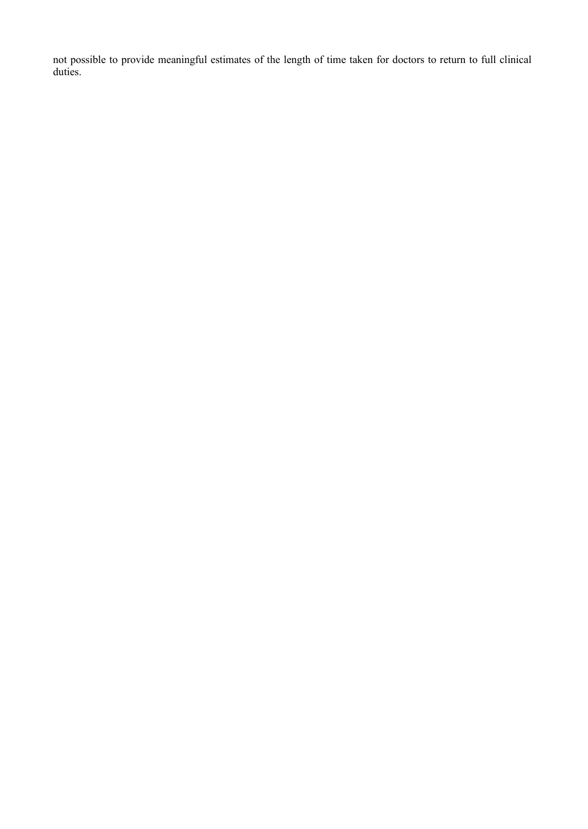not possible to provide meaningful estimates of the length of time taken for doctors to return to full clinical duties.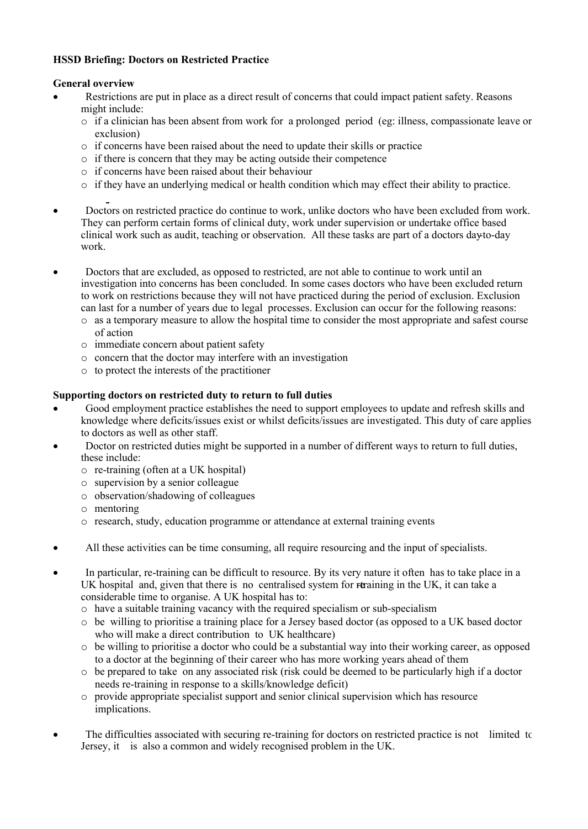# **HSSD Briefing: Doctors on Restricted Practice**

# **General overview**

- Restrictions are put in place as a direct result of concerns that could impact patient safety. Reasons might include:
	- $\circ$  if a clinician has been absent from work for a prolonged period (eg: illness, compassionate leave or exclusion)
	- $\circ$  if concerns have been raised about the need to update their skills or practice
	- $\circ$  if there is concern that they may be acting outside their competence
	- $\circ$  if concerns have been raised about their behaviour
	- $\circ$  if they have an underlying medical or health condition which may effect their ability to practice.
- Doctors on restricted practice do continue to work, unlike doctors who have been excluded from work. They can perform certain forms of clinical duty, work under supervision or undertake office based clinical work such as audit, teaching or observation. All these tasks are part of a doctors day-to-day work.
- Doctors that are excluded, as opposed to restricted, are not able to continue to work until an investigation into concerns has been concluded. In some cases doctors who have been excluded return to work on restrictions because they will not have practiced during the period of exclusion. Exclusion can last for a number of years due to legal processes. Exclusion can occur for the following reasons:
	- o as a temporary measure to allow the hospital time to consider the most appropriate and safest course of action
	- o immediate concern about patient safety
	- o concern that the doctor may interfere with an investigation
	- o to protect the interests of the practitioner

# **Supporting doctors on restricted duty to return to full duties**

- Good employment practice establishes the need to support employees to update and refresh skills and knowledge where deficits/issues exist or whilst deficits/issues are investigated. This duty of care applies to doctors as well as other staff.
- Doctor on restricted duties might be supported in a number of different ways to return to full duties, these include:
	- o re-training (often at a UK hospital)
	- o supervision by a senior colleague
	- o observation/shadowing of colleagues
	- o mentoring
	- o research, study, education programme or attendance at external training events
- All these activities can be time consuming, all require resourcing and the input of specialists.
- In particular, re-training can be difficult to resource. By its very nature it often has to take place in a UK hospital and, given that there is no centralised system for  $r$  training in the UK, it can take a considerable time to organise. A UK hospital has to:
	- o have a suitable training vacancy with the required specialism or sub-specialism
	- $\circ$  be willing to prioritise a training place for a Jersey based doctor (as opposed to a UK based doctor who will make a direct contribution to UK healthcare)
	- $\circ$  be willing to prioritise a doctor who could be a substantial way into their working career, as opposed to a doctor at the beginning of their career who has more working years ahead of them
	- $\circ$  be prepared to take on any associated risk (risk could be deemed to be particularly high if a doctor needs re-training in response to a skills/knowledge deficit)
	- o provide appropriate specialist support and senior clinical supervision which has resource implications.
- The difficulties associated with securing re-training for doctors on restricted practice is not limited to Jersey, it is also a common and widely recognised problem in the UK.